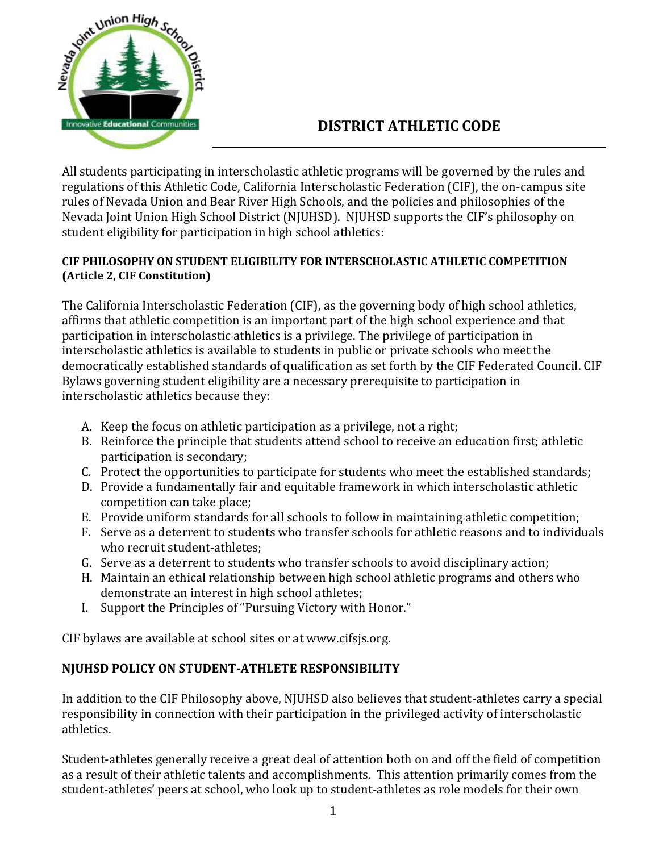

## **DISTRICT ATHLETIC CODE**

All students participating in interscholastic athletic programs will be governed by the rules and regulations of this Athletic Code, California Interscholastic Federation (CIF), the on-campus site rules of Nevada Union and Bear River High Schools, and the policies and philosophies of the Nevada Joint Union High School District (NJUHSD). NJUHSD supports the CIF's philosophy on student eligibility for participation in high school athletics:

#### **CIF PHILOSOPHY ON STUDENT ELIGIBILITY FOR INTERSCHOLASTIC ATHLETIC COMPETITION (Article 2, CIF Constitution)**

The California Interscholastic Federation (CIF), as the governing body of high school athletics, affirms that athletic competition is an important part of the high school experience and that participation in interscholastic athletics is a privilege. The privilege of participation in interscholastic athletics is available to students in public or private schools who meet the democratically established standards of qualification as set forth by the CIF Federated Council. CIF Bylaws governing student eligibility are a necessary prerequisite to participation in interscholastic athletics because they:

- A. Keep the focus on athletic participation as a privilege, not a right;
- B. Reinforce the principle that students attend school to receive an education first; athletic participation is secondary;
- C. Protect the opportunities to participate for students who meet the established standards;
- D. Provide a fundamentally fair and equitable framework in which interscholastic athletic competition can take place;
- E. Provide uniform standards for all schools to follow in maintaining athletic competition;
- F. Serve as a deterrent to students who transfer schools for athletic reasons and to individuals who recruit student-athletes;
- G. Serve as a deterrent to students who transfer schools to avoid disciplinary action;
- H. Maintain an ethical relationship between high school athletic programs and others who demonstrate an interest in high school athletes;
- I. Support the Principles of "Pursuing Victory with Honor."

CIF bylaws are available at school sites or at www.cifsjs.org.

## **NJUHSD POLICY ON STUDENT-ATHLETE RESPONSIBILITY**

In addition to the CIF Philosophy above, NJUHSD also believes that student-athletes carry a special responsibility in connection with their participation in the privileged activity of interscholastic athletics.

Student-athletes generally receive a great deal of attention both on and off the field of competition as a result of their athletic talents and accomplishments. This attention primarily comes from the student-athletes' peers at school, who look up to student-athletes as role models for their own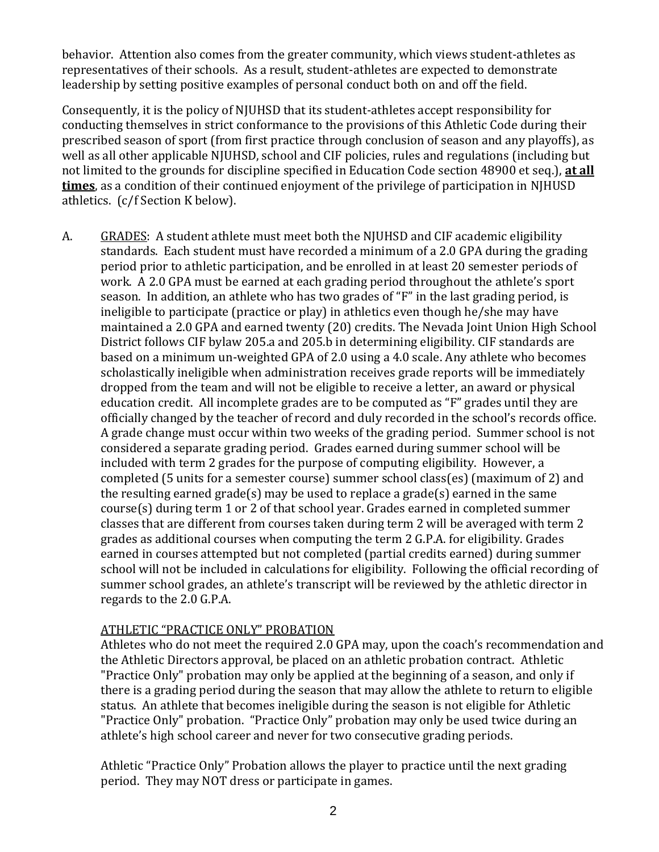behavior. Attention also comes from the greater community, which views student-athletes as representatives of their schools. As a result, student-athletes are expected to demonstrate leadership by setting positive examples of personal conduct both on and off the field.

Consequently, it is the policy of NJUHSD that its student-athletes accept responsibility for conducting themselves in strict conformance to the provisions of this Athletic Code during their prescribed season of sport (from first practice through conclusion of season and any playoffs), as well as all other applicable NJUHSD, school and CIF policies, rules and regulations (including but not limited to the grounds for discipline specified in Education Code section 48900 et seq.), **at all times**, as a condition of their continued enjoyment of the privilege of participation in NJHUSD athletics. (c/f Section K below).

A. GRADES: A student athlete must meet both the NJUHSD and CIF academic eligibility standards. Each student must have recorded a minimum of a 2.0 GPA during the grading period prior to athletic participation, and be enrolled in at least 20 semester periods of work. A 2.0 GPA must be earned at each grading period throughout the athlete's sport season. In addition, an athlete who has two grades of "F" in the last grading period, is ineligible to participate (practice or play) in athletics even though he/she may have maintained a 2.0 GPA and earned twenty (20) credits. The Nevada Joint Union High School District follows CIF bylaw 205.a and 205.b in determining eligibility. CIF standards are based on a minimum un-weighted GPA of 2.0 using a 4.0 scale. Any athlete who becomes scholastically ineligible when administration receives grade reports will be immediately dropped from the team and will not be eligible to receive a letter, an award or physical education credit. All incomplete grades are to be computed as "F" grades until they are officially changed by the teacher of record and duly recorded in the school's records office. A grade change must occur within two weeks of the grading period. Summer school is not considered a separate grading period. Grades earned during summer school will be included with term 2 grades for the purpose of computing eligibility. However, a completed (5 units for a semester course) summer school class(es) (maximum of 2) and the resulting earned grade(s) may be used to replace a grade(s) earned in the same course(s) during term 1 or 2 of that school year. Grades earned in completed summer classes that are different from courses taken during term 2 will be averaged with term 2 grades as additional courses when computing the term 2 G.P.A. for eligibility. Grades earned in courses attempted but not completed (partial credits earned) during summer school will not be included in calculations for eligibility. Following the official recording of summer school grades, an athlete's transcript will be reviewed by the athletic director in regards to the 2.0 G.P.A.

#### ATHLETIC "PRACTICE ONLY" PROBATION

Athletes who do not meet the required 2.0 GPA may, upon the coach's recommendation and the Athletic Directors approval, be placed on an athletic probation contract. Athletic "Practice Only" probation may only be applied at the beginning of a season, and only if there is a grading period during the season that may allow the athlete to return to eligible status. An athlete that becomes ineligible during the season is not eligible for Athletic "Practice Only" probation. "Practice Only" probation may only be used twice during an athlete's high school career and never for two consecutive grading periods.

Athletic "Practice Only" Probation allows the player to practice until the next grading period. They may NOT dress or participate in games.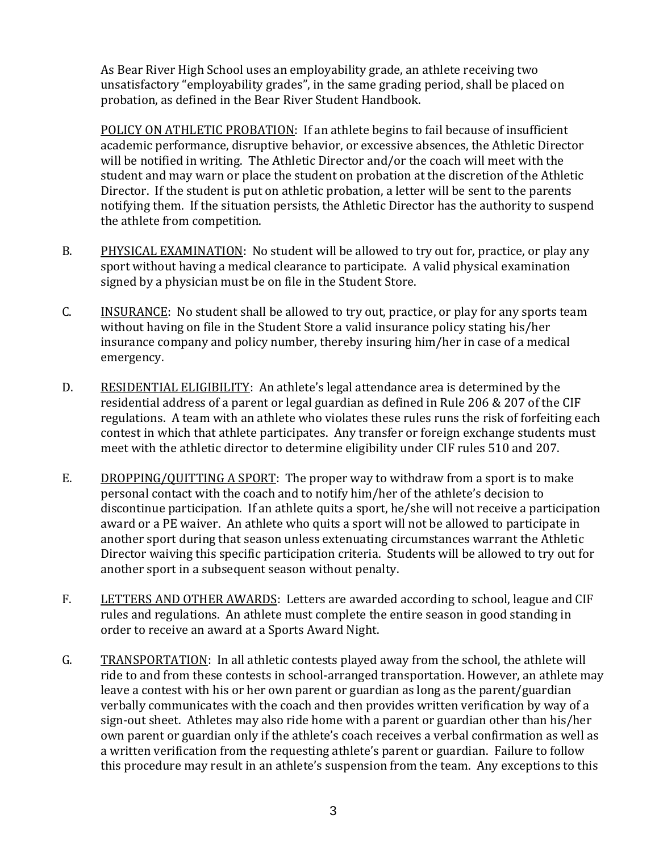As Bear River High School uses an employability grade, an athlete receiving two unsatisfactory "employability grades", in the same grading period, shall be placed on probation, as defined in the Bear River Student Handbook.

POLICY ON ATHLETIC PROBATION: If an athlete begins to fail because of insufficient academic performance, disruptive behavior, or excessive absences, the Athletic Director will be notified in writing. The Athletic Director and/or the coach will meet with the student and may warn or place the student on probation at the discretion of the Athletic Director. If the student is put on athletic probation, a letter will be sent to the parents notifying them. If the situation persists, the Athletic Director has the authority to suspend the athlete from competition.

- B. PHYSICAL EXAMINATION: No student will be allowed to try out for, practice, or play any sport without having a medical clearance to participate. A valid physical examination signed by a physician must be on file in the Student Store.
- C. **INSURANCE:** No student shall be allowed to try out, practice, or play for any sports team without having on file in the Student Store a valid insurance policy stating his/her insurance company and policy number, thereby insuring him/her in case of a medical emergency.
- D. RESIDENTIAL ELIGIBILITY: An athlete's legal attendance area is determined by the residential address of a parent or legal guardian as defined in Rule 206 & 207 of the CIF regulations. A team with an athlete who violates these rules runs the risk of forfeiting each contest in which that athlete participates. Any transfer or foreign exchange students must meet with the athletic director to determine eligibility under CIF rules 510 and 207.
- E. DROPPING/QUITTING A SPORT: The proper way to withdraw from a sport is to make personal contact with the coach and to notify him/her of the athlete's decision to discontinue participation. If an athlete quits a sport, he/she will not receive a participation award or a PE waiver. An athlete who quits a sport will not be allowed to participate in another sport during that season unless extenuating circumstances warrant the Athletic Director waiving this specific participation criteria.Students will be allowed to try out for another sport in a subsequent season without penalty.
- F. LETTERS AND OTHER AWARDS: Letters are awarded according to school, league and CIF rules and regulations. An athlete must complete the entire season in good standing in order to receive an award at a Sports Award Night.
- G. TRANSPORTATION: In all athletic contests played away from the school, the athlete will ride to and from these contests in school-arranged transportation. However, an athlete may leave a contest with his or her own parent or guardian as long as the parent/guardian verbally communicates with the coach and then provides written verification by way of a sign-out sheet. Athletes may also ride home with a parent or guardian other than his/her own parent or guardian only if the athlete's coach receives a verbal confirmation as well as a written verification from the requesting athlete's parent or guardian. Failure to follow this procedure may result in an athlete's suspension from the team. Any exceptions to this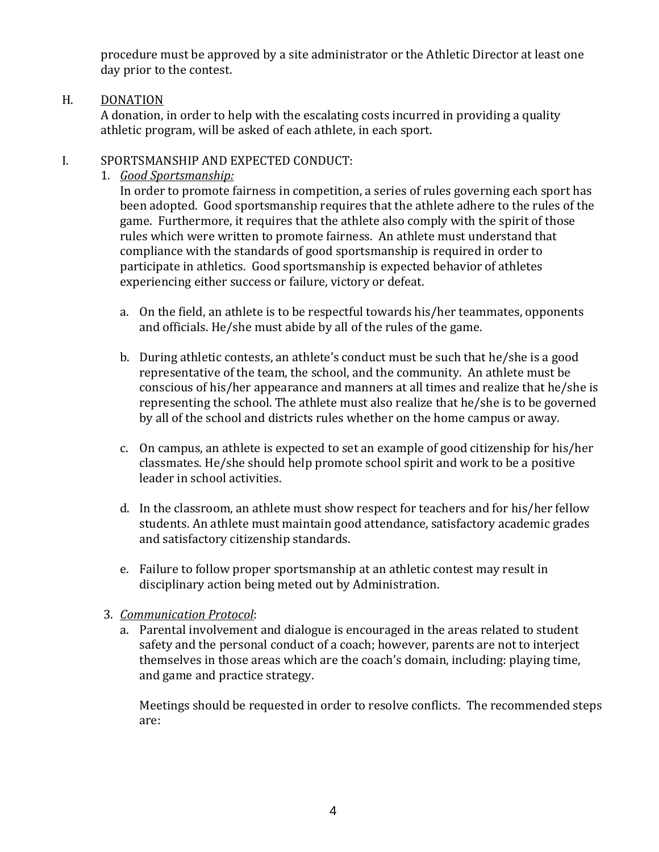procedure must be approved by a site administrator or the Athletic Director at least one day prior to the contest.

#### H. **DONATION**

A donation, in order to help with the escalating costs incurred in providing a quality athletic program, will be asked of each athlete, in each sport.

#### I. SPORTSMANSHIP AND EXPECTED CONDUCT:

1. *Good Sportsmanship:*

In order to promote fairness in competition, a series of rules governing each sport has been adopted. Good sportsmanship requires that the athlete adhere to the rules of the game. Furthermore, it requires that the athlete also comply with the spirit of those rules which were written to promote fairness. An athlete must understand that compliance with the standards of good sportsmanship is required in order to participate in athletics. Good sportsmanship is expected behavior of athletes experiencing either success or failure, victory or defeat.

- a. On the field, an athlete is to be respectful towards his/her teammates, opponents and officials. He/she must abide by all of the rules of the game.
- b. During athletic contests, an athlete's conduct must be such that he/she is a good representative of the team, the school, and the community. An athlete must be conscious of his/her appearance and manners at all times and realize that he/she is representing the school. The athlete must also realize that he/she is to be governed by all of the school and districts rules whether on the home campus or away.
- c. On campus, an athlete is expected to set an example of good citizenship for his/her classmates. He/she should help promote school spirit and work to be a positive leader in school activities.
- d. In the classroom, an athlete must show respect for teachers and for his/her fellow students. An athlete must maintain good attendance, satisfactory academic grades and satisfactory citizenship standards.
- e. Failure to follow proper sportsmanship at an athletic contest may result in disciplinary action being meted out by Administration.
- 3. *Communication Protocol*:
	- a. Parental involvement and dialogue is encouraged in the areas related to student safety and the personal conduct of a coach; however, parents are not to interject themselves in those areas which are the coach's domain, including: playing time, and game and practice strategy.

Meetings should be requested in order to resolve conflicts. The recommended steps are: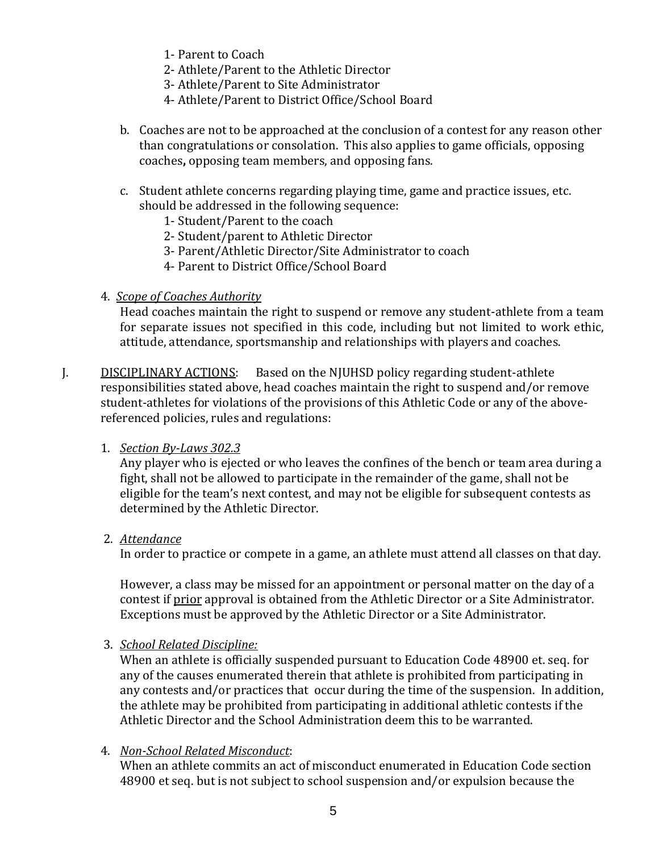- 1- Parent to Coach
- 2- Athlete/Parent to the Athletic Director
- 3- Athlete/Parent to Site Administrator
- 4- Athlete/Parent to District Office/School Board
- b. Coaches are not to be approached at the conclusion of a contest for any reason other than congratulations or consolation. This also applies to game officials, opposing coaches**,** opposing team members, and opposing fans.
- c. Student athlete concerns regarding playing time, game and practice issues, etc. should be addressed in the following sequence:
	- 1- Student/Parent to the coach
	- 2- Student/parent to Athletic Director
	- 3- Parent/Athletic Director/Site Administrator to coach
	- 4- Parent to District Office/School Board
- 4. *Scope of Coaches Authority*

Head coaches maintain the right to suspend or remove any student-athlete from a team for separate issues not specified in this code, including but not limited to work ethic, attitude, attendance, sportsmanship and relationships with players and coaches.

J. DISCIPLINARY ACTIONS: Based on the NJUHSD policy regarding student-athlete responsibilities stated above, head coaches maintain the right to suspend and/or remove student-athletes for violations of the provisions of this Athletic Code or any of the abovereferenced policies, rules and regulations:

#### 1. *Section By-Laws 302.3*

Any player who is ejected or who leaves the confines of the bench or team area during a fight, shall not be allowed to participate in the remainder of the game, shall not be eligible for the team's next contest, and may not be eligible for subsequent contests as determined by the Athletic Director.

2. *Attendance*

In order to practice or compete in a game, an athlete must attend all classes on that day.

However, a class may be missed for an appointment or personal matter on the day of a contest if prior approval is obtained from the Athletic Director or a Site Administrator. Exceptions must be approved by the Athletic Director or a Site Administrator.

3. *School Related Discipline:* 

When an athlete is officially suspended pursuant to Education Code 48900 et. seq. for any of the causes enumerated therein that athlete is prohibited from participating in any contests and/or practices that occur during the time of the suspension. In addition, the athlete may be prohibited from participating in additional athletic contests if the Athletic Director and the School Administration deem this to be warranted.

## 4. *Non-School Related Misconduct*:

When an athlete commits an act of misconduct enumerated in Education Code section 48900 et seq. but is not subject to school suspension and/or expulsion because the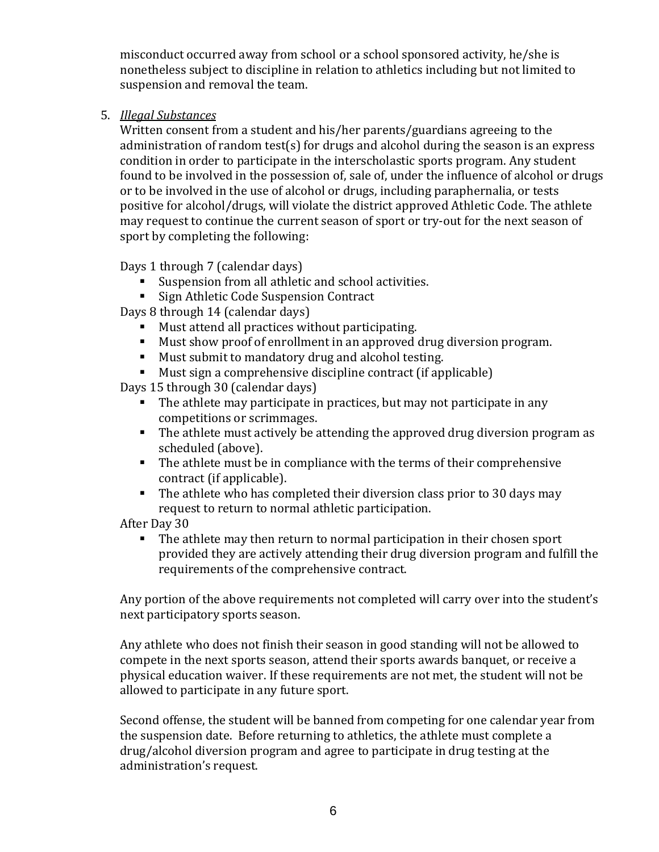misconduct occurred away from school or a school sponsored activity, he/she is nonetheless subject to discipline in relation to athletics including but not limited to suspension and removal the team.

5. *Illegal Substances*

Written consent from a student and his/her parents/guardians agreeing to the administration of random test(s) for drugs and alcohol during the season is an express condition in order to participate in the interscholastic sports program. Any student found to be involved in the possession of, sale of, under the influence of alcohol or drugs or to be involved in the use of alcohol or drugs, including paraphernalia, or tests positive for alcohol/drugs, will violate the district approved Athletic Code. The athlete may request to continue the current season of sport or try-out for the next season of sport by completing the following:

Days 1 through 7 (calendar days)

- Suspension from all athletic and school activities.
- Sign Athletic Code Suspension Contract

Days 8 through 14 (calendar days)

- Must attend all practices without participating.
- Must show proof of enrollment in an approved drug diversion program.
- **Must submit to mandatory drug and alcohol testing.**
- Must sign a comprehensive discipline contract (if applicable)

Days 15 through 30 (calendar days)

- The athlete may participate in practices, but may not participate in any competitions or scrimmages.
- The athlete must actively be attending the approved drug diversion program as scheduled (above).
- The athlete must be in compliance with the terms of their comprehensive contract (if applicable).
- The athlete who has completed their diversion class prior to 30 days may request to return to normal athletic participation.

After Day 30

The athlete may then return to normal participation in their chosen sport provided they are actively attending their drug diversion program and fulfill the requirements of the comprehensive contract.

Any portion of the above requirements not completed will carry over into the student's next participatory sports season.

Any athlete who does not finish their season in good standing will not be allowed to compete in the next sports season, attend their sports awards banquet, or receive a physical education waiver. If these requirements are not met, the student will not be allowed to participate in any future sport.

Second offense, the student will be banned from competing for one calendar year from the suspension date. Before returning to athletics, the athlete must complete a drug/alcohol diversion program and agree to participate in drug testing at the administration's request.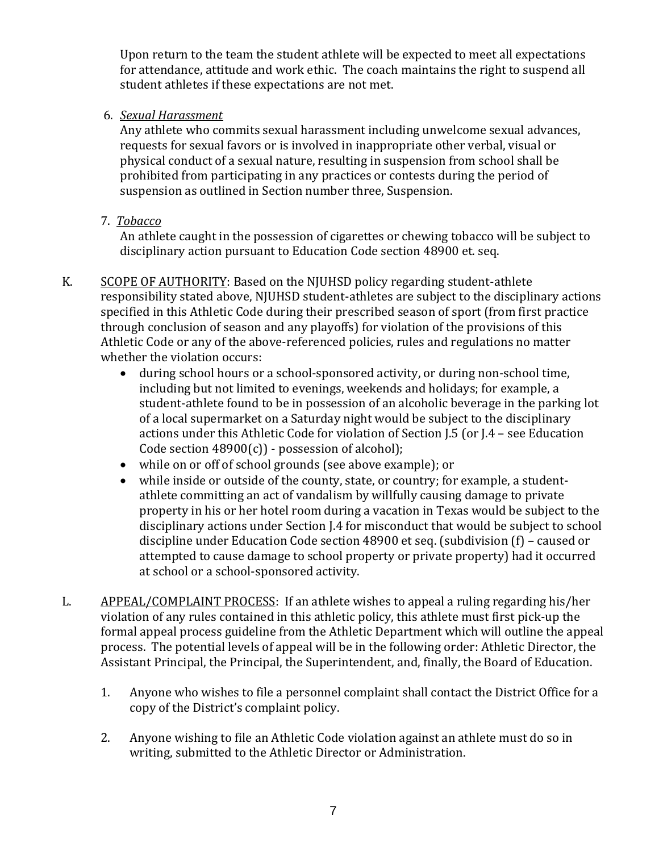Upon return to the team the student athlete will be expected to meet all expectations for attendance, attitude and work ethic. The coach maintains the right to suspend all student athletes if these expectations are not met.

6. *Sexual Harassment* 

Any athlete who commits sexual harassment including unwelcome sexual advances, requests for sexual favors or is involved in inappropriate other verbal, visual or physical conduct of a sexual nature, resulting in suspension from school shall be prohibited from participating in any practices or contests during the period of suspension as outlined in Section number three, Suspension.

7. *Tobacco*

An athlete caught in the possession of cigarettes or chewing tobacco will be subject to disciplinary action pursuant to Education Code section 48900 et. seq.

- K. SCOPE OF AUTHORITY: Based on the NJUHSD policy regarding student-athlete responsibility stated above, NJUHSD student-athletes are subject to the disciplinary actions specified in this Athletic Code during their prescribed season of sport (from first practice through conclusion of season and any playoffs) for violation of the provisions of this Athletic Code or any of the above-referenced policies, rules and regulations no matter whether the violation occurs:
	- during school hours or a school-sponsored activity, or during non-school time, including but not limited to evenings, weekends and holidays; for example, a student-athlete found to be in possession of an alcoholic beverage in the parking lot of a local supermarket on a Saturday night would be subject to the disciplinary actions under this Athletic Code for violation of Section J.5 (or J.4 – see Education Code section  $48900(c)$ ) - possession of alcohol);
	- while on or off of school grounds (see above example); or
	- while inside or outside of the county, state, or country; for example, a studentathlete committing an act of vandalism by willfully causing damage to private property in his or her hotel room during a vacation in Texas would be subject to the disciplinary actions under Section J.4 for misconduct that would be subject to school discipline under Education Code section 48900 et seq. (subdivision (f) – caused or attempted to cause damage to school property or private property) had it occurred at school or a school-sponsored activity.
- L. APPEAL/COMPLAINT PROCESS: If an athlete wishes to appeal a ruling regarding his/her violation of any rules contained in this athletic policy, this athlete must first pick-up the formal appeal process guideline from the Athletic Department which will outline the appeal process. The potential levels of appeal will be in the following order: Athletic Director, the Assistant Principal, the Principal, the Superintendent, and, finally, the Board of Education.
	- 1. Anyone who wishes to file a personnel complaint shall contact the District Office for a copy of the District's complaint policy.
	- 2. Anyone wishing to file an Athletic Code violation against an athlete must do so in writing, submitted to the Athletic Director or Administration.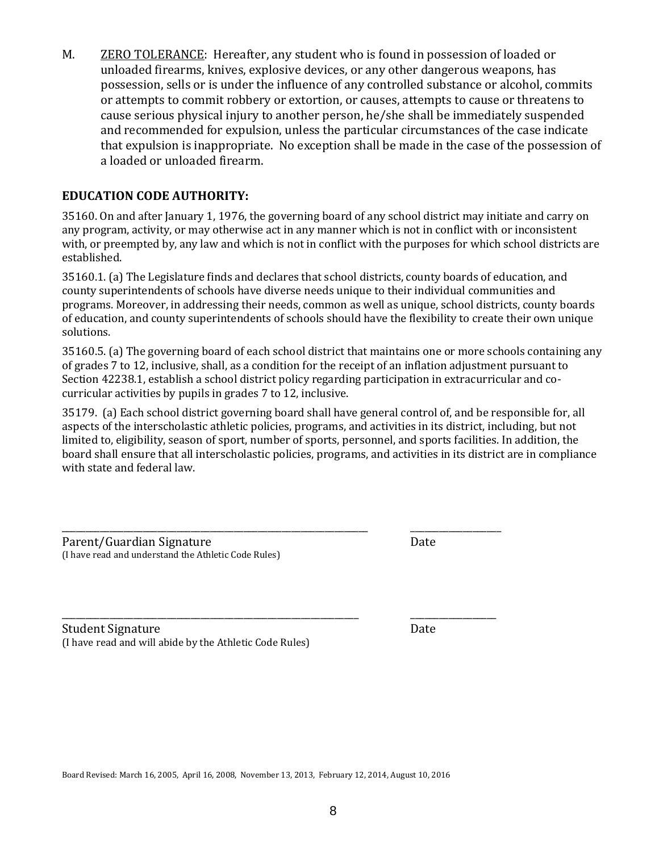M. ZERO TOLERANCE:Hereafter, any student who is found in possession of loaded or unloaded firearms, knives, explosive devices, or any other dangerous weapons, has possession, sells or is under the influence of any controlled substance or alcohol, commits or attempts to commit robbery or extortion, or causes, attempts to cause or threatens to cause serious physical injury to another person, he/she shall be immediately suspended and recommended for expulsion, unless the particular circumstances of the case indicate that expulsion is inappropriate. No exception shall be made in the case of the possession of a loaded or unloaded firearm.

## **EDUCATION CODE AUTHORITY:**

35160. On and after January 1, 1976, the governing board of any school district may initiate and carry on any program, activity, or may otherwise act in any manner which is not in conflict with or inconsistent with, or preempted by, any law and which is not in conflict with the purposes for which school districts are established.

35160.1. (a) The Legislature finds and declares that school districts, county boards of education, and county superintendents of schools have diverse needs unique to their individual communities and programs. Moreover, in addressing their needs, common as well as unique, school districts, county boards of education, and county superintendents of schools should have the flexibility to create their own unique solutions.

35160.5. (a) The governing board of each school district that maintains one or more schools containing any of grades 7 to 12, inclusive, shall, as a condition for the receipt of an inflation adjustment pursuant to Section 42238.1, establish a school district policy regarding participation in extracurricular and cocurricular activities by pupils in grades 7 to 12, inclusive.

35179. (a) Each school district governing board shall have general control of, and be responsible for, all aspects of the interscholastic athletic policies, programs, and activities in its district, including, but not limited to, eligibility, season of sport, number of sports, personnel, and sports facilities. In addition, the board shall ensure that all interscholastic policies, programs, and activities in its district are in compliance with state and federal law.

| Parent/Guardian Signature                            | Date |  |
|------------------------------------------------------|------|--|
| (I have read and understand the Athletic Code Rules) |      |  |

\_\_\_\_\_\_\_\_\_\_\_\_\_\_\_\_\_\_\_\_\_\_\_\_\_\_\_\_\_\_\_\_\_\_\_\_\_\_\_\_\_\_\_\_\_\_\_\_\_\_\_\_\_\_\_\_\_\_\_\_\_\_ \_\_\_\_\_\_\_\_\_\_\_\_\_\_\_\_\_\_ Student Signature Date (I have read and will abide by the Athletic Code Rules)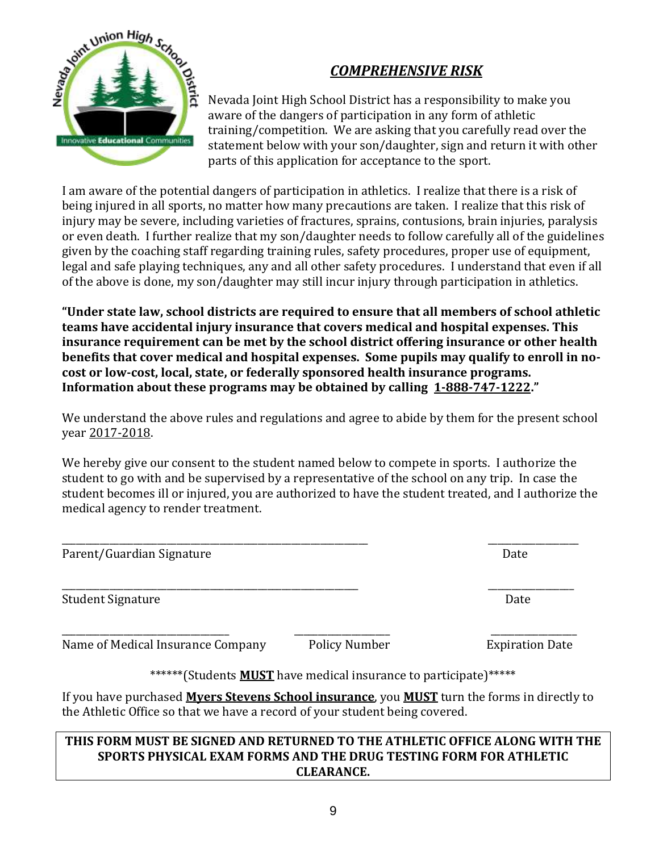

## *COMPREHENSIVE RISK*

Nevada Joint High School District has a responsibility to make you aware of the dangers of participation in any form of athletic training/competition. We are asking that you carefully read over the statement below with your son/daughter, sign and return it with other parts of this application for acceptance to the sport.

I am aware of the potential dangers of participation in athletics. I realize that there is a risk of being injured in all sports, no matter how many precautions are taken. I realize that this risk of injury may be severe, including varieties of fractures, sprains, contusions, brain injuries, paralysis or even death. I further realize that my son/daughter needs to follow carefully all of the guidelines given by the coaching staff regarding training rules, safety procedures, proper use of equipment, legal and safe playing techniques, any and all other safety procedures. I understand that even if all of the above is done, my son/daughter may still incur injury through participation in athletics.

**"Under state law, school districts are required to ensure that all members of school athletic teams have accidental injury insurance that covers medical and hospital expenses. This insurance requirement can be met by the school district offering insurance or other health benefits that cover medical and hospital expenses. Some pupils may qualify to enroll in nocost or low-cost, local, state, or federally sponsored health insurance programs. Information about these programs may be obtained by calling 1-888-747-1222."**

We understand the above rules and regulations and agree to abide by them for the present school year 2017-2018.

We hereby give our consent to the student named below to compete in sports. I authorize the student to go with and be supervised by a representative of the school on any trip. In case the student becomes ill or injured, you are authorized to have the student treated, and I authorize the medical agency to render treatment.

\_\_\_\_\_\_\_\_\_\_\_\_\_\_\_\_\_\_\_\_\_\_\_\_\_\_\_\_\_\_\_\_\_\_\_\_\_\_\_\_\_\_\_\_\_\_\_\_\_\_\_\_\_\_\_\_\_\_\_\_\_\_\_\_ \_\_\_\_\_\_\_\_\_\_\_\_\_\_\_\_\_\_\_

\_\_\_\_\_\_\_\_\_\_\_\_\_\_\_\_\_\_\_\_\_\_\_\_\_\_\_\_\_\_\_\_\_\_\_\_\_\_\_\_\_\_\_\_\_\_\_\_\_\_\_\_\_\_\_\_\_\_\_\_\_\_ \_\_\_\_\_\_\_\_\_\_\_\_\_\_\_\_\_\_

Parent/Guardian Signature Date

Student Signature Date

Name of Medical Insurance Company Policy Number Expiration Date

\_\_\_\_\_\_\_\_\_\_\_\_\_\_\_\_\_\_\_\_\_\_\_\_\_\_\_\_\_\_\_\_\_\_\_ \_\_\_\_\_\_\_\_\_\_\_\_\_\_\_\_\_\_\_\_ \_\_\_\_\_\_\_\_\_\_\_\_\_\_\_\_\_\_

\*\*\*\*\*\*(Students **MUST** have medical insurance to participate)\*\*\*\*\*

If you have purchased **Myers Stevens School insurance**, you **MUST** turn the forms in directly to the Athletic Office so that we have a record of your student being covered.

#### **THIS FORM MUST BE SIGNED AND RETURNED TO THE ATHLETIC OFFICE ALONG WITH THE SPORTS PHYSICAL EXAM FORMS AND THE DRUG TESTING FORM FOR ATHLETIC CLEARANCE.**